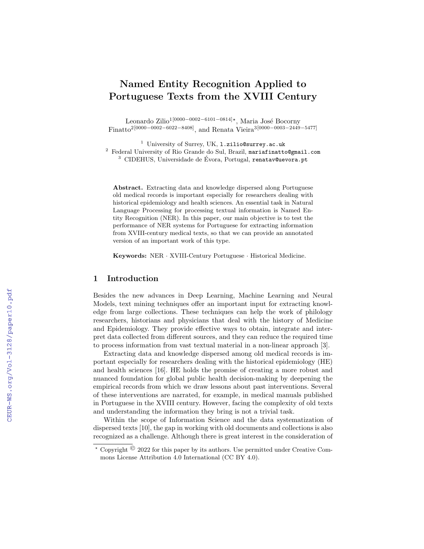# Named Entity Recognition Applied to Portuguese Texts from the XVIII Century

Leonardo Zilio<sup>1 [0000–0002–6101–0814]∗</sup>, Maria José Bocorny Finatto<sup>2</sup><sup>[0000–0002–6022–8408]</sup>, and Renata Vieira<sup>3</sup><sup>[0000–0003–2449–5477]</sup>

<sup>1</sup> University of Surrey, UK, 1.zilio@surrey.ac.uk

 $2$  Federal University of Rio Grande do Sul, Brazil, mariafinatto@gmail.com

 $3$  CIDEHUS, Universidade de Évora, Portugal, renatav@uevora.pt

Abstract. Extracting data and knowledge dispersed along Portuguese old medical records is important especially for researchers dealing with historical epidemiology and health sciences. An essential task in Natural Language Processing for processing textual information is Named Entity Recognition (NER). In this paper, our main objective is to test the performance of NER systems for Portuguese for extracting information from XVIII-century medical texts, so that we can provide an annotated version of an important work of this type.

Keywords: NER · XVIII-Century Portuguese · Historical Medicine.

# 1 Introduction

Besides the new advances in Deep Learning, Machine Learning and Neural Models, text mining techniques offer an important input for extracting knowledge from large collections. These techniques can help the work of philology researchers, historians and physicians that deal with the history of Medicine and Epidemiology. They provide effective ways to obtain, integrate and interpret data collected from different sources, and they can reduce the required time to process information from vast textual material in a non-linear approach [3].

Extracting data and knowledge dispersed among old medical records is important especially for researchers dealing with the historical epidemiology (HE) and health sciences [16]. HE holds the promise of creating a more robust and nuanced foundation for global public health decision-making by deepening the empirical records from which we draw lessons about past interventions. Several of these interventions are narrated, for example, in medical manuals published in Portuguese in the XVIII century. However, facing the complexity of old texts and understanding the information they bring is not a trivial task.

Within the scope of Information Science and the data systematization of dispersed texts [10], the gap in working with old documents and collections is also recognized as a challenge. Although there is great interest in the consideration of

 $\star$  Copyright  $\odot$  2022 for this paper by its authors. Use permitted under Creative Commons License Attribution 4.0 International (CC BY 4.0).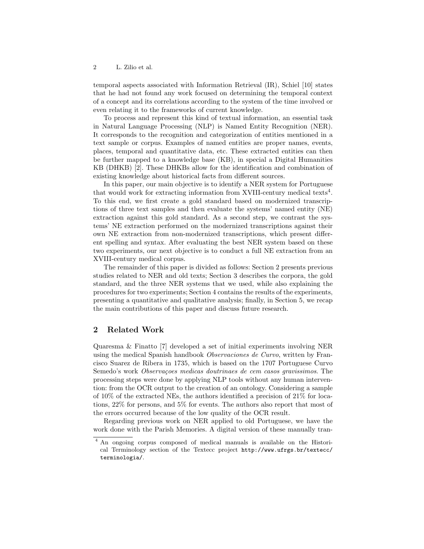2 L. Zilio et al.

temporal aspects associated with Information Retrieval (IR), Schiel [10] states that he had not found any work focused on determining the temporal context of a concept and its correlations according to the system of the time involved or even relating it to the frameworks of current knowledge.

To process and represent this kind of textual information, an essential task in Natural Language Processing (NLP) is Named Entity Recognition (NER). It corresponds to the recognition and categorization of entities mentioned in a text sample or corpus. Examples of named entities are proper names, events, places, temporal and quantitative data, etc. These extracted entities can then be further mapped to a knowledge base (KB), in special a Digital Humanities KB (DHKB) [2]. These DHKBs allow for the identification and combination of existing knowledge about historical facts from different sources.

In this paper, our main objective is to identify a NER system for Portuguese that would work for extracting information from XVIII-century medical texts<sup>4</sup>. To this end, we first create a gold standard based on modernized transcriptions of three text samples and then evaluate the systems' named entity (NE) extraction against this gold standard. As a second step, we contrast the systems' NE extraction performed on the modernized transcriptions against their own NE extraction from non-modernized transcriptions, which present different spelling and syntax. After evaluating the best NER system based on these two experiments, our next objective is to conduct a full NE extraction from an XVIII-century medical corpus.

The remainder of this paper is divided as follows: Section 2 presents previous studies related to NER and old texts; Section 3 describes the corpora, the gold standard, and the three NER systems that we used, while also explaining the procedures for two experiments; Section 4 contains the results of the experiments, presenting a quantitative and qualitative analysis; finally, in Section 5, we recap the main contributions of this paper and discuss future research.

# 2 Related Work

Quaresma & Finatto [7] developed a set of initial experiments involving NER using the medical Spanish handbook Observaciones de Curvo, written by Francisco Suarez de Ribera in 1735, which is based on the 1707 Portuguese Curvo Semedo's work Observações medicas doutrinaes de cem casos gravissimos. The processing steps were done by applying NLP tools without any human intervention: from the OCR output to the creation of an ontology. Considering a sample of 10% of the extracted NEs, the authors identified a precision of 21% for locations, 22% for persons, and 5% for events. The authors also report that most of the errors occurred because of the low quality of the OCR result.

Regarding previous work on NER applied to old Portuguese, we have the work done with the Parish Memories. A digital version of these manually tran-

<sup>4</sup> An ongoing corpus composed of medical manuals is available on the Historical Terminology section of the Textecc project http://www.ufrgs.br/textecc/ terminologia/.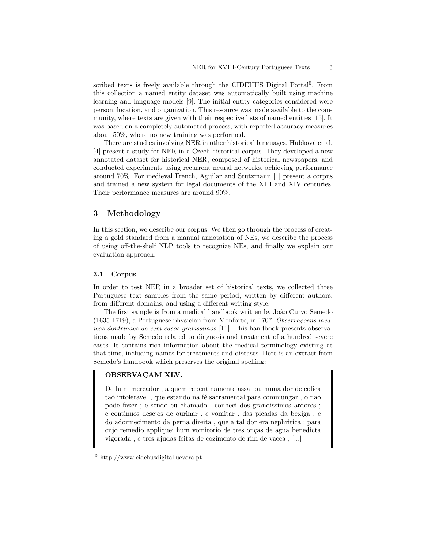scribed texts is freely available through the CIDEHUS Digital Portal<sup>5</sup>. From this collection a named entity dataset was automatically built using machine learning and language models [9]. The initial entity categories considered were person, location, and organization. This resource was made available to the community, where texts are given with their respective lists of named entities [15]. It was based on a completely automated process, with reported accuracy measures about 50%, where no new training was performed.

There are studies involving NER in other historical languages. Hubková et al. [4] present a study for NER in a Czech historical corpus. They developed a new annotated dataset for historical NER, composed of historical newspapers, and conducted experiments using recurrent neural networks, achieving performance around 70%. For medieval French, Aguilar and Stutzmann [1] present a corpus and trained a new system for legal documents of the XIII and XIV centuries. Their performance measures are around 90%.

# 3 Methodology

In this section, we describe our corpus. We then go through the process of creating a gold standard from a manual annotation of NEs, we describe the process of using off-the-shelf NLP tools to recognize NEs, and finally we explain our evaluation approach.

## 3.1 Corpus

In order to test NER in a broader set of historical texts, we collected three Portuguese text samples from the same period, written by different authors, from different domains, and using a different writing style.

The first sample is from a medical handbook written by João Curvo Semedo  $(1635-1719)$ , a Portuguese physician from Monforte, in 1707: Observaceens medicas doutrinaes de cem casos gravissimos [11]. This handbook presents observations made by Semedo related to diagnosis and treatment of a hundred severe cases. It contains rich information about the medical terminology existing at that time, including names for treatments and diseases. Here is an extract from Semedo's handbook which preserves the original spelling:

## OBSERVAÇAM XLV.

De hum mercador , a quem repentinamente assaltou huma dor de colica taõ intoleravel, que estando na fé sacramental para commungar, o naõ pode fazer ; e sendo eu chamado , conheci dos grandissimos ardores ; e continuos desejos de ourinar , e vomitar , das picadas da bexiga , e do adormecimento da perna direita , que a tal dor era nephritica ; para cujo remedio appliquei hum vomitorio de tres onças de agua benedicta vigorada , e tres ajudas feitas de cozimento de rim de vacca , [...]

<sup>5</sup> http://www.cidehusdigital.uevora.pt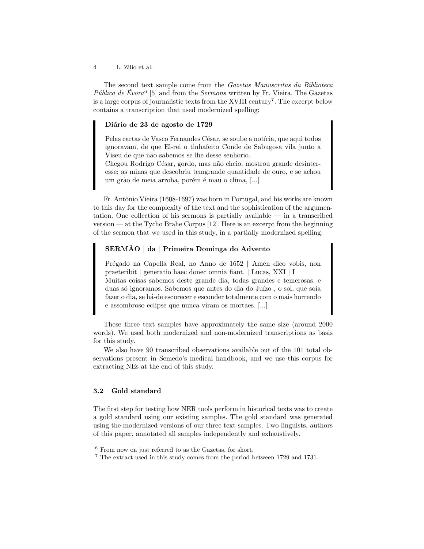4 L. Zilio et al.

The second text sample come from the Gazetas Manuscritas da Biblioteca Pública de Évora<sup>6</sup> [5] and from the Sermons written by Fr. Vieira. The Gazetas is a large corpus of journalistic texts from the XVIII century<sup>7</sup>. The excerpt below contains a transcription that used modernized spelling:

## Diário de 23 de agosto de 1729

Pelas cartas de Vasco Fernandes César, se soube a notícia, que aqui todos ignoravam, de que El-rei o tinhafeito Conde de Sabugosa vila junto a Viseu de que não sabemos se lhe desse senhorio.

Chegou Rodrigo César, gordo, mas não cheio, mostrou grande desinteresse; as minas que descobriu temgrande quantidade de ouro, e se achou um grão de meia arroba, porém é mau o clima, [...]

Fr. Antônio Vieira (1608-1697) was born in Portugal, and his works are known to this day for the complexity of the text and the sophistication of the argumentation. One collection of his sermons is partially available — in a transcribed version — at the Tycho Brahe Corpus [12]. Here is an excerpt from the beginning of the sermon that we used in this study, in a partially modernized spelling:

## SERMAO | da | Primeira Dominga do Advento

Prégado na Capella Real, no Anno de 1652 | Amen dico vobis, non praeteribit | generatio haec donec omnia fiant. | Lucas, XXI | I Muitas coisas sabemos deste grande dia, todas grandes e temerosas, e duas só ignoramos. Sabemos que antes do dia do Juízo, o sol, que soía fazer o dia, se há-de escurecer e esconder totalmente com o mais horrendo e assombroso eclipse que nunca viram os mortaes. [...]

These three text samples have approximately the same size (around 2000 words). We used both modernized and non-modernized transcriptions as basis for this study.

We also have 90 transcribed observations available out of the 101 total observations present in Semedo's medical handbook, and we use this corpus for extracting NEs at the end of this study.

## 3.2 Gold standard

The first step for testing how NER tools perform in historical texts was to create a gold standard using our existing samples. The gold standard was generated using the modernized versions of our three text samples. Two linguists, authors of this paper, annotated all samples independently and exhaustively.

<sup>6</sup> From now on just referred to as the Gazetas, for short.

<sup>7</sup> The extract used in this study comes from the period between 1729 and 1731.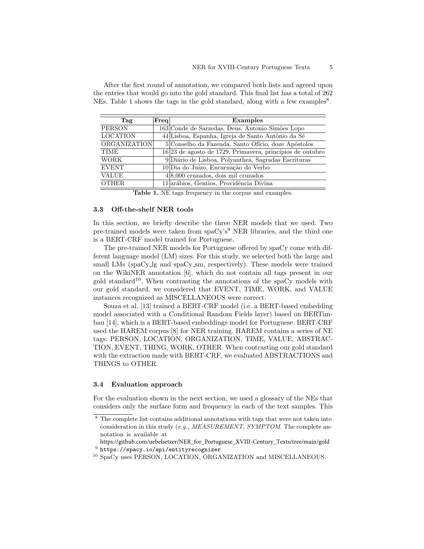| Tag                 | $\rm Freq $ | Examples                                                  |  |  |  |
|---------------------|-------------|-----------------------------------------------------------|--|--|--|
| <b>PERSON</b>       |             | 163 Conde de Sarzedas, Deus, Antonio Simões Lopo          |  |  |  |
| <b>LOCATION</b>     |             | 44 Lisboa, Espanha, Igreja de Santo Antônio da Sé         |  |  |  |
| <b>ORGANIZATION</b> |             | 5 Conselho da Fazenda, Santo Ofício, doze Apóstolos       |  |  |  |
| <b>TIME</b>         |             | 16 23 de agosto de 1729, Primavera, princípios de outubro |  |  |  |
| <b>WORK</b>         |             | 9 Diário de Lisboa, Polyanthea, Sagradas Escrituras       |  |  |  |
| <b>EVENT</b>        |             | 10 Dia do Juízo, Encarnação do Verbo                      |  |  |  |
| <b>VALUE</b>        |             | $4 8.000$ cruzados, dois mil cruzados                     |  |  |  |
| <b>OTHER</b>        |             | 11 arábios, Gentios, Providência Divina                   |  |  |  |

After the first round of annotation, we compared both lists and agreed upon the entries that would go into the gold standard. This final list has a total of 262 NEs. Table 1 shows the tags in the gold standard, along with a few examples<sup>8</sup>.

Table 1. NE tags frequency in the corpus and examples.

#### 3.3 Off-the-shelf NER tools

In this section, we briefly describe the three NER models that we used. Two pre-trained models were taken from  $spaCy's<sup>9</sup>$  NER libraries, and the third one is a BERT-CRF model trained for Portuguese.

The pre-trained NER models for Portuguese offered by spaCy come with different language model (LM) sizes. For this study, we selected both the large and small LMs (spaCy<sub>1g</sub> and spaCy<sub>1sm</sub>, respectively). These models were trained on the WikiNER annotation [6], which do not contain all tags present in our gold standard<sup>10</sup>. When contrasting the annotations of the spaCy models with our gold standard, we considered that EVENT, TIME, WORK, and VALUE instances recognized as MISCELLANEOUS were correct.

Souza et al. [13] trained a BERT-CRF model (i.e. a BERT-based embedding model associated with a Conditional Random Fields layer) based on BERTimbau [14], which is a BERT-based embeddings model for Portuguese. BERT-CRF used the HAREM corpus [8] for NER training. HAREM contains a series of NE tags: PERSON, LOCATION, ORGANIZATION, TIME, VALUE, ABSTRAC-TION, EVENT, THING, WORK, OTHER. When contrasting our gold standard with the extraction made with BERT-CRF, we evaluated ABSTRACTIONS and THINGS to OTHER.

#### 3.4 Evaluation approach

For the evaluation shown in the next section, we used a glossary of the NEs that considers only the surface form and frequency in each of the text samples. This

<sup>&</sup>lt;sup>8</sup> The complete list contains additional annotations with tags that were not taken into consideration in this study (e.g., MEASUREMENT, SYMPTOM. The complete annotation is available at

 $^9$  https://spacy.io/api/entityrecognizer https://github.com/uebelsetzer/NER\_for\_Portuguese\_XVIII-Century\_Texts/tree/main/gold

<sup>10</sup> SpaCy uses PERSON, LOCATION, ORGANIZATION and MISCELLANEOUS.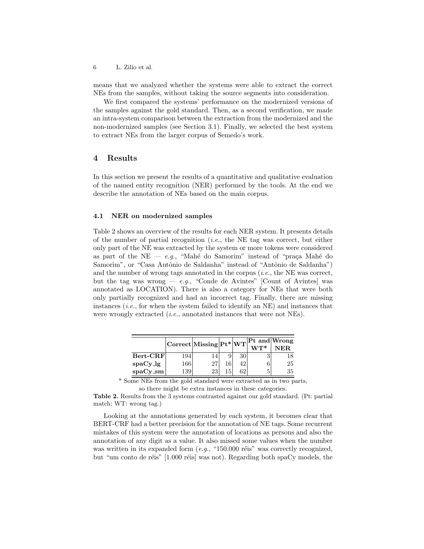6 L. Zilio et al.

means that we analyzed whether the systems were able to extract the correct NEs from the samples, without taking the source segments into consideration.

We first compared the systems' performance on the modernized versions of the samples against the gold standard. Then, as a second verification, we made an intra-system comparison between the extraction from the modernized and the non-modernized samples (see Section 3.1). Finally, we selected the best system to extract NEs from the larger corpus of Semedo's work.

## 4 Results

In this section we present the results of a quantitative and qualitative evaluation of the named entity recognition (NER) performed by the tools. At the end we describe the annotation of NEs based on the main corpus.

## 4.1 NER on modernized samples

Table 2 shows an overview of the results for each NER system. It presents details of the number of partial recognition (*i.e.*, the NE tag was correct, but either only part of the NE was extracted by the system or more tokens were considered as part of the NE — e.g., "Mahé do Samorim" instead of "praça Mahé do Samorim", or "Casa Antônio de Saldanha" instead of "Antônio de Saldanha") and the number of wrong tags annotated in the corpus  $(i.e.,$  the NE was correct, but the tag was wrong  $-e.g.,$  "Conde de Avintes" [Count of Avintes] was annotated as LOCATION). There is also a category for NEs that were both only partially recognized and had an incorrect tag. Finally, there are missing instances  $(i.e.,$  for when the system failed to identify an NE) and instances that were wrongly extracted (i.e., annotated instances that were not NEs).

|            |     | $\label{eq:correct}  \mathrm{Correct}  \mathrm{Missing}  \mathrm{Pt}^*  \mathrm{WT} \Big ^{\mathrm{Pt\ and}\, \mathrm{Wrong}}$ |    |     |    |
|------------|-----|--------------------------------------------------------------------------------------------------------------------------------|----|-----|----|
| Bert-CRF   | 194 |                                                                                                                                |    | 30  | 18 |
| $spaCy_lg$ | 166 | 27                                                                                                                             | 16 | 42' | 25 |
| spaCy_sm   | 139 | 23                                                                                                                             | 15 | 62  | 35 |

\* Some NEs from the gold standard were extracted as in two parts, so there might be extra instances in these categories.

Table 2. Results from the 3 systems contrasted against our gold standard. (Pt: partial match; WT: wrong tag.)

Looking at the annotations generated by each system, it becomes clear that BERT-CRF had a better precision for the annotation of NE tags. Some recurrent mistakes of this system were the annotation of locations as persons and also the annotation of any digit as a value. It also missed some values when the number was written in its expanded form  $(e.g., "150.000$  réis" was correctly recognized, but "um conto de réis" [1.000 réis] was not). Regarding both spaCy models, the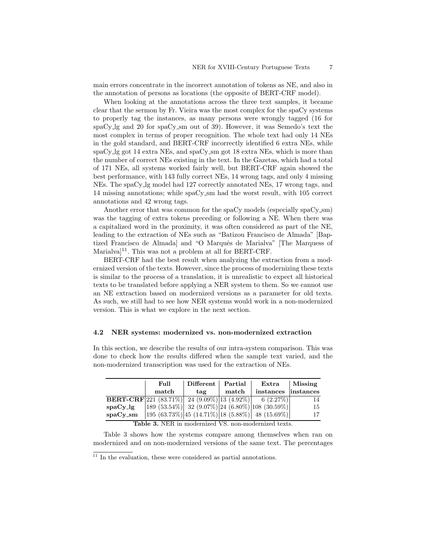main errors concentrate in the incorrect annotation of tokens as NE, and also in the annotation of persons as locations (the opposite of BERT-CRF model).

When looking at the annotations across the three text samples, it became clear that the sermon by Fr. Vieira was the most complex for the spaCy systems to properly tag the instances, as many persons were wrongly tagged (16 for spaCy lg and 20 for spaCy sm out of 39). However, it was Semedo's text the most complex in terms of proper recognition. The whole text had only 14 NEs in the gold standard, and BERT-CRF incorrectly identified 6 extra NEs, while spaCy lg got 14 extra NEs, and spaCy sm got 18 extra NEs, which is more than the number of correct NEs existing in the text. In the Gazetas, which had a total of 171 NEs, all systems worked fairly well, but BERT-CRF again showed the best performance, with 143 fully correct NEs, 14 wrong tags, and only 4 missing NEs. The spaCy lg model had 127 correctly annotated NEs, 17 wrong tags, and 14 missing annotations; while spaCy sm had the worst result, with 105 correct annotations and 42 wrong tags.

Another error that was common for the spaCy models (especially spaCy\_sm) was the tagging of extra tokens preceding or following a NE. When there was a capitalized word in the proximity, it was often considered as part of the NE, leading to the extraction of NEs such as "Batizou Francisco de Almada" [Baptized Francisco de Almada and "O Marquês de Marialya" [The Marquess of Marialva $]$ <sup>11</sup>. This was not a problem at all for BERT-CRF.

BERT-CRF had the best result when analyzing the extraction from a modernized version of the texts. However, since the process of modernizing these texts is similar to the process of a translation, it is unrealistic to expect all historical texts to be translated before applying a NER system to them. So we cannot use an NE extraction based on modernized versions as a parameter for old texts. As such, we still had to see how NER systems would work in a non-modernized version. This is what we explore in the next section.

#### 4.2 NER systems: modernized vs. non-modernized extraction

In this section, we describe the results of our intra-system comparison. This was done to check how the results differed when the sample text varied, and the non-modernized transcription was used for the extraction of NEs.

|                                                      | Full  | $Different \mid$ | Partial | $\bm{\mathrm{Extra}}$                                                                   | Missing            |  |
|------------------------------------------------------|-------|------------------|---------|-----------------------------------------------------------------------------------------|--------------------|--|
|                                                      | match | tag              | match   | instances                                                                               | $ {\rm instances}$ |  |
| <b>BERT-CRF</b> $ 221 (83.71\%) $                    |       |                  |         | $\left  \frac{24 (9.09\%)[13 (4.92\%)]}{6 (2.27\%)} \right $                            | 14                 |  |
| $spaCy_lg$                                           |       |                  |         | $\left 189\ (53.54\%) \right $ 32 (9.07%) $\left 24\ (6.80\%) \right $ 108 (30.59%)     | 15                 |  |
| $spaCv$ _sm                                          |       |                  |         | $\left 195\ (63.73\%)\right 45\ (14.71\%)\left 18\ (5.88\%)\right 48\ (15.69\%)\right $ | 17                 |  |
| Table 3. NER in modernized VS. non-modernized texts. |       |                  |         |                                                                                         |                    |  |

Table 3 shows how the systems compare among themselves when ran on modernized and on non-modernized versions of the same text. The percentages

 $11$  In the evaluation, these were considered as partial annotations.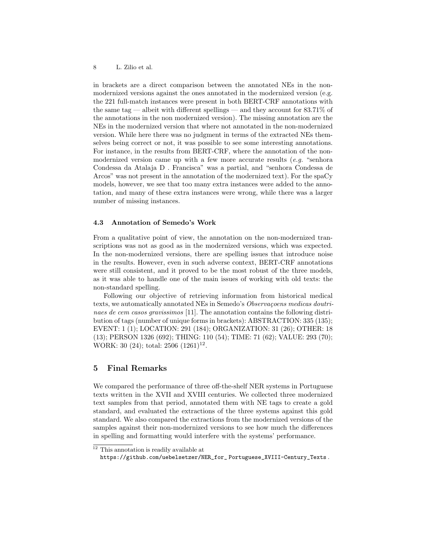in brackets are a direct comparison between the annotated NEs in the nonmodernized versions against the ones annotated in the modernized version (e.g. the 221 full-match instances were present in both BERT-CRF annotations with the same tag — albeit with different spellings — and they account for  $83.71\%$  of the annotations in the non modernized version). The missing annotation are the NEs in the modernized version that where not annotated in the non-modernized version. While here there was no judgment in terms of the extracted NEs themselves being correct or not, it was possible to see some interesting annotations. For instance, in the results from BERT-CRF, where the annotation of the nonmodernized version came up with a few more accurate results  $(e.g.$  "senhora Condessa da Atalaja D . Francisca" was a partial, and "senhora Condessa de Arcos" was not present in the annotation of the modernized text). For the spaCy models, however, we see that too many extra instances were added to the annotation, and many of these extra instances were wrong, while there was a larger number of missing instances.

#### 4.3 Annotation of Semedo's Work

From a qualitative point of view, the annotation on the non-modernized transcriptions was not as good as in the modernized versions, which was expected. In the non-modernized versions, there are spelling issues that introduce noise in the results. However, even in such adverse context, BERT-CRF annotations were still consistent, and it proved to be the most robust of the three models, as it was able to handle one of the main issues of working with old texts: the non-standard spelling.

Following our objective of retrieving information from historical medical texts, we automatically annotated NEs in Semedo's Observaçõens medicas doutrinaes de cem casos gravissimos [11]. The annotation contains the following distribution of tags (number of unique forms in brackets): ABSTRACTION: 335 (135); EVENT: 1 (1); LOCATION: 291 (184); ORGANIZATION: 31 (26); OTHER: 18 (13); PERSON 1326 (692); THING: 110 (54); TIME: 71 (62); VALUE: 293 (70); WORK: 30 (24); total:  $2506$   $(1261)^{12}$ .

# 5 Final Remarks

We compared the performance of three off-the-shelf NER systems in Portuguese texts written in the XVII and XVIII centuries. We collected three modernized text samples from that period, annotated them with NE tags to create a gold standard, and evaluated the extractions of the three systems against this gold standard. We also compared the extractions from the modernized versions of the samples against their non-modernized versions to see how much the differences in spelling and formatting would interfere with the systems' performance.

 $^{12}$  This annotation is readily available at

https://github.com/uebelsetzer/NER\_for\_ Portuguese\_XVIII-Century\_Texts .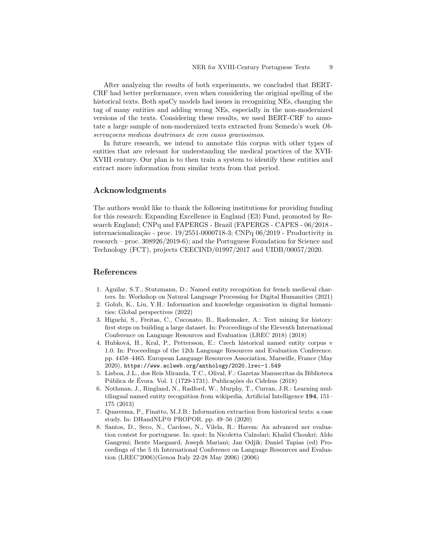After analyzing the results of both experiments, we concluded that BERT-CRF had better performance, even when considering the original spelling of the historical texts. Both spaCy models had issues in recognizing NEs, changing the tag of many entities and adding wrong NEs, especially in the non-modernized versions of the texts. Considering these results, we used BERT-CRF to annotate a large sample of non-modernized texts extracted from Semedo's work Observaçõens medicas doutrinaes de cem casos gravissimos.

In future research, we intend to annotate this corpus with other types of entities that are relevant for understanding the medical practices of the XVII-XVIII century. Our plan is to then train a system to identify these entities and extract more information from similar texts from that period.

# Acknowledgments

The authors would like to thank the following institutions for providing funding for this research: Expanding Excellence in England (E3) Fund, promoted by Research England; CNPq and FAPERGS - Brazil (FAPERGS - CAPES - 06/2018 internacionalização - proc. 19/2551-0000718-3; CNPq 06/2019 - Productivity in research – proc. 308926/2019-6); and the Portuguese Foundation for Science and Technology (FCT), projects CEECIND/01997/2017 and UIDB/00057/2020.

# References

- 1. Aguilar, S.T., Stutzmann, D.: Named entity recognition for french medieval charters. In: Workshop on Natural Language Processing for Digital Humanities (2021)
- 2. Golub, K., Liu, Y.H.: Information and knowledge organisation in digital humanities: Global perspectives (2022)
- 3. Higuchi, S., Freitas, C., Cuconato, B., Rademaker, A.: Text mining for history: first steps on building a large dataset. In: Proceedings of the Eleventh International Conference on Language Resources and Evaluation (LREC 2018) (2018)
- 4. Hubková, H., Kral, P., Pettersson, E.: Czech historical named entity corpus v 1.0. In: Proceedings of the 12th Language Resources and Evaluation Conference. pp. 4458–4465. European Language Resources Association, Marseille, France (May 2020), https://www.aclweb.org/anthology/2020.lrec-1.549
- 5. Lisboa, J.L., dos Reis Miranda, T.C., Olival, F.: Gazetas Manuscritas da Biblioteca Pública de Évora. Vol. 1 (1729-1731). Publicações do Cidehus (2018)
- 6. Nothman, J., Ringland, N., Radford, W., Murphy, T., Curran, J.R.: Learning multilingual named entity recognition from wikipedia. Artificial Intelligence 194, 151– 175 (2013)
- 7. Quaresma, P., Finatto, M.J.B.: Information extraction from historical texts: a case study. In: DHandNLP@ PROPOR. pp. 49–56 (2020)
- 8. Santos, D., Seco, N., Cardoso, N., Vilela, R.: Harem: An advanced ner evaluation contest for portuguese. In: quot; In Nicoletta Calzolari; Khalid Choukri; Aldo Gangemi; Bente Maegaard; Joseph Mariani; Jan Odjik; Daniel Tapias (ed) Proceedings of the 5 th International Conference on Language Resources and Evaluation (LREC'2006)(Genoa Italy 22-28 May 2006) (2006)